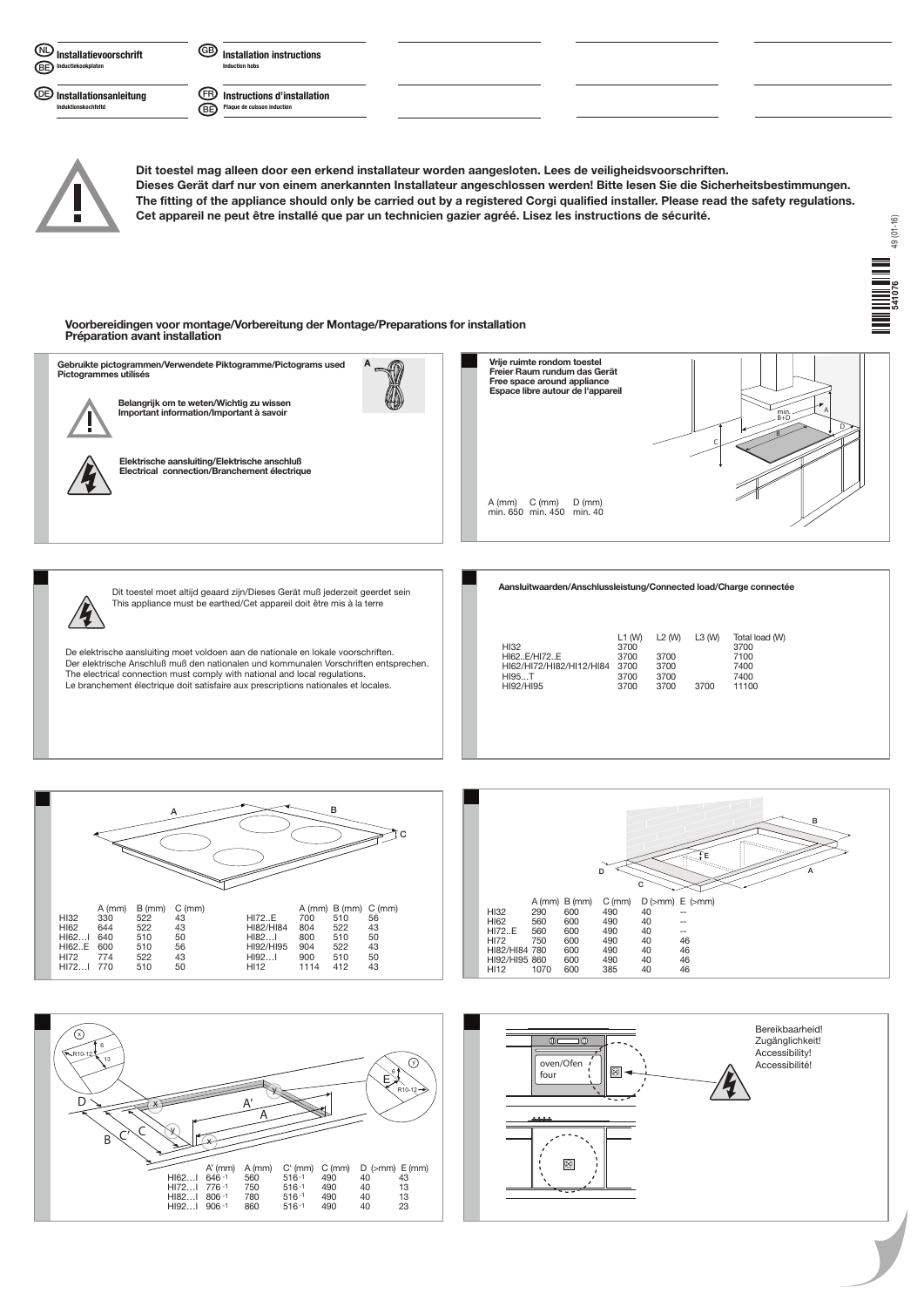**Installation instructions Induction hobs** 



**Installationsanleitung Induktionskochfeltd DE**

**Instructions d'installation Plaque de cuisson induction FR BE**





## HI62..E/HI72..E 3700 3700 7100 HI62/HI72/HI82/HI12/HI84 HI95...T 3700 3700 7400 HI92/HI95 3700 3700 3700 11100





Der elektrische Anschluß muß den nationalen und kommunalen Vorschriften entsprechen. The electrical connection must comply with national and local regulations. Le branchement électrique doit satisfaire aux prescriptions nationales et locales.



**Dit toestel mag alleen door een erkend installateur worden aangesloten. Lees de veiligheidsvoorschriften. Dieses Gerät darf nur von einem anerkannten Installateur angeschlossen werden! Bitte lesen Sie die Sicherheitsbestimmungen. The fitting of the appliance should only be carried out by a registered Corgi qualified installer. Please read the safety regulations. Cet appareil ne peut être installé que par un technicien gazier agréé. Lisez les instructions de sécurité.**

**Voorbereidingen voor montage/Vorbereitung der Montage/Preparations for installation Préparation avant installation**

## 49 (01-16)